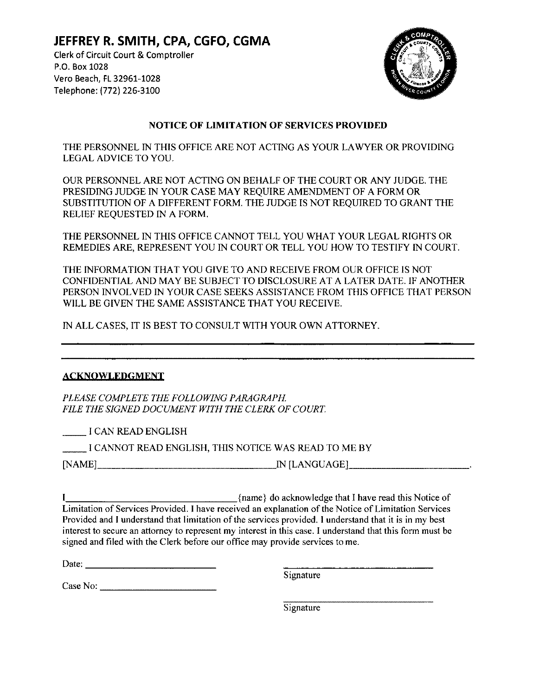JEFFREY R. SMITH, CPA, CGFO, CGMA Clerk of Circuit Court & Comptroller P.O. Box 1028 Vero Beach, FL 32961-1028 Telephone; (772) 226-3100



## NOTICE OF LIMITATION OF SERVICES PROVIDED

THE PERSONNEL IN THIS OFFICE ARE NOT ACTING AS YOUR LAWYER OR PROVIDING LEGAL ADVICE TO YOU.

OUR PERSONNEL ARE NOT ACTING ON BEHALF OF THE COURT OR ANY JUDGE. THE PRESIDING JUDGE IN YOUR CASE MAY REQUIRE AMENDMENT OF A FORM OR SUBSTITUTION OF A DIFFERENT FORM. THE JUDGE IS NOT REQUIRED TO GRANT THE RELIEF REQUESTED IN A FORM.

THE PERSONNEL IN THIS OFFICE CANNOT TELL YOU WHAT YOUR LEGAL RIGHTS OR REMEDIES ARE, REPRESENT YOU IN COURT OR TELL YOU HOW TO TESTIFY IN COURT.

THE INFORMATION THAT YOU GIVE TO AND RECEIVE FROM OUR OFFICE IS NOT CONFIDENTIAL AND MAY BE SUBJECT TO DISCLOSURE AT A LATER DATE. IF ANOTHER PERSON INVOLVED IN YOUR CASE SEEKS ASSISTANCE FROM THIS OFFICE THAT PERSON WILL BE GIVEN THE SAME ASSISTANCE THAT YOU RECEIVE.

IN ALL CASES, IT IS BEST TO CONSULT WITH YOUR OWN ATTORNEY.

## **ACKNOWLEDGMENT**

PLEASE COMPLETE THE FOLLOWING PARAGRAPH. FILE THE SIGNED DOCUMENT WITH THE CLERK OF COURT.

I CAN READ ENGLISH

<sup>I</sup> CANNOT READ ENGLISH, THIS NOTICE WAS READ TO ME BY

[NAME] IN[LANGUAGE]

I [name} do acknowledge that I have read this Notice of Limitation of Services Provided. I have received an explanation of the Notice of Limitation Services Provided and I understand that limitation of the services provided. I understand that it is in my best interest to secure an attorney to represent my interest in this case. I understand that this form must be signed and filed with the Clerk before our office may provide services to me.

| Date: |  |  |  |  |  |
|-------|--|--|--|--|--|
|       |  |  |  |  |  |

Signature

Case No:

**Signature**